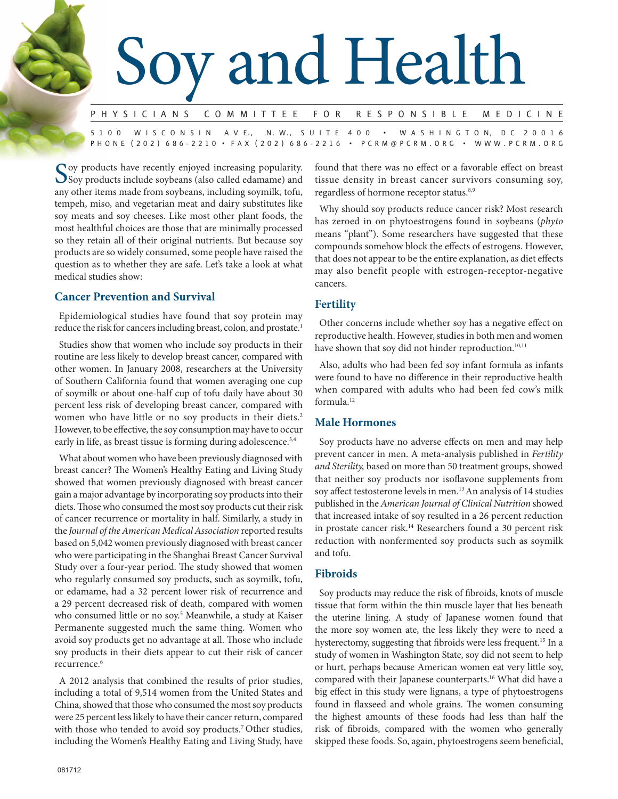# Soy and Health

P H Y S I C I A N S C O M M I TTEE FOR RESPONSIBLE MEDICINE 5 1 0 0 W I S C O N S I N A V E., N. W., S U IT E 4 0 0 · W A S H I N G T O N, D C 2 0 0 1 6 P H O N E ( 2 0 2 ) 6 8 6 - 2 2 1 0 • F A X ( 2 0 2 ) 6 8 6 - 2 2 1 6 • P C R M @ P C R M . O R G • W W W . P C R M . O R G

 $\bigcap$  oy products have recently enjoyed increasing popularity. Soy products include soybeans (also called edamame) and any other items made from soybeans, including soymilk, tofu, tempeh, miso, and vegetarian meat and dairy substitutes like soy meats and soy cheeses. Like most other plant foods, the most healthful choices are those that are minimally processed so they retain all of their original nutrients. But because soy products are so widely consumed, some people have raised the question as to whether they are safe. Let's take a look at what medical studies show:

# **Cancer Prevention and Survival**

Epidemiological studies have found that soy protein may reduce the risk for cancers including breast, colon, and prostate.<sup>1</sup>

Studies show that women who include soy products in their routine are less likely to develop breast cancer, compared with other women. In January 2008, researchers at the University of Southern California found that women averaging one cup of soymilk or about one-half cup of tofu daily have about 30 percent less risk of developing breast cancer, compared with women who have little or no soy products in their diets.<sup>2</sup> However, to be effective, the soy consumption may have to occur early in life, as breast tissue is forming during adolescence.<sup>3,4</sup>

What about women who have been previously diagnosed with breast cancer? The Women's Healthy Eating and Living Study showed that women previously diagnosed with breast cancer gain a major advantage by incorporating soy products into their diets. Those who consumed the most soy products cut their risk of cancer recurrence or mortality in half. Similarly, a study in the *Journal of the American Medical Association* reported results based on 5,042 women previously diagnosed with breast cancer who were participating in the Shanghai Breast Cancer Survival Study over a four-year period. The study showed that women who regularly consumed soy products, such as soymilk, tofu, or edamame, had a 32 percent lower risk of recurrence and a 29 percent decreased risk of death, compared with women who consumed little or no soy.<sup>5</sup> Meanwhile, a study at Kaiser Permanente suggested much the same thing. Women who avoid soy products get no advantage at all. Those who include soy products in their diets appear to cut their risk of cancer recurrence.<sup>6</sup>

A 2012 analysis that combined the results of prior studies, including a total of 9,514 women from the United States and China, showed that those who consumed the most soy products were 25 percent less likely to have their cancer return, compared with those who tended to avoid soy products.<sup>7</sup> Other studies, including the Women's Healthy Eating and Living Study, have found that there was no effect or a favorable effect on breast tissue density in breast cancer survivors consuming soy, regardless of hormone receptor status.<sup>8,9</sup>

Why should soy products reduce cancer risk? Most research has zeroed in on phytoestrogens found in soybeans (*phyto* means "plant"). Some researchers have suggested that these compounds somehow block the effects of estrogens. However, that does not appear to be the entire explanation, as diet effects may also benefit people with estrogen-receptor-negative cancers.

# **Fertility**

Other concerns include whether soy has a negative effect on reproductive health. However, studies in both men and women have shown that soy did not hinder reproduction.<sup>10,11</sup>

Also, adults who had been fed soy infant formula as infants were found to have no difference in their reproductive health when compared with adults who had been fed cow's milk formula.12

# **Male Hormones**

Soy products have no adverse effects on men and may help prevent cancer in men. A meta-analysis published in *Fertility and Sterility,* based on more than 50 treatment groups, showed that neither soy products nor isoflavone supplements from soy affect testosterone levels in men.<sup>13</sup> An analysis of 14 studies published in the *American Journal of Clinical Nutrition* showed that increased intake of soy resulted in a 26 percent reduction in prostate cancer risk.<sup>14</sup> Researchers found a 30 percent risk reduction with nonfermented soy products such as soymilk and tofu.

# **Fibroids**

Soy products may reduce the risk of fibroids, knots of muscle tissue that form within the thin muscle layer that lies beneath the uterine lining. A study of Japanese women found that the more soy women ate, the less likely they were to need a hysterectomy, suggesting that fibroids were less frequent.<sup>15</sup> In a study of women in Washington State, soy did not seem to help or hurt, perhaps because American women eat very little soy, compared with their Japanese counterparts.<sup>16</sup> What did have a big effect in this study were lignans, a type of phytoestrogens found in flaxseed and whole grains. The women consuming the highest amounts of these foods had less than half the risk of fibroids, compared with the women who generally skipped these foods. So, again, phytoestrogens seem beneficial,